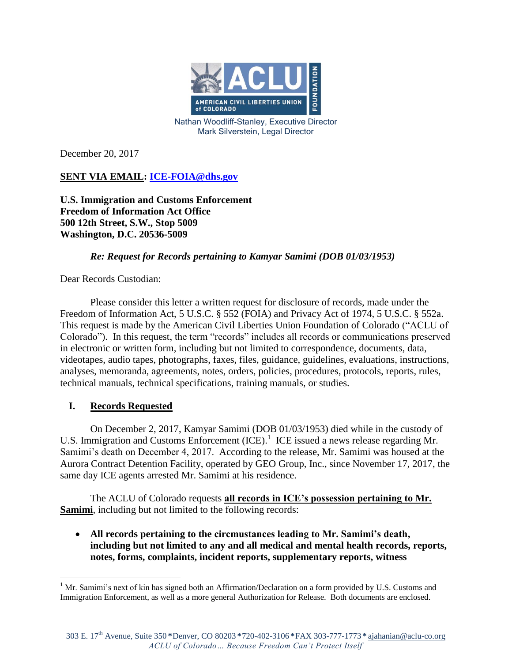

Nathan Woodliff-Stanley, Executive Director Mark Silverstein, Legal Director

December 20, 2017

**SENT VIA EMAIL: [ICE-FOIA@dhs.gov](mailto:ICE-FOIA@dhs.gov)**

**U.S. Immigration and Customs Enforcement Freedom of Information Act Office 500 12th Street, S.W., Stop 5009 Washington, D.C. 20536-5009**

# *Re: Request for Records pertaining to Kamyar Samimi (DOB 01/03/1953)*

Dear Records Custodian:

Please consider this letter a written request for disclosure of records, made under the Freedom of Information Act, 5 U.S.C. § 552 (FOIA) and Privacy Act of 1974, 5 U.S.C. § 552a. This request is made by the American Civil Liberties Union Foundation of Colorado ("ACLU of Colorado"). In this request, the term "records" includes all records or communications preserved in electronic or written form, including but not limited to correspondence, documents, data, videotapes, audio tapes, photographs, faxes, files, guidance, guidelines, evaluations, instructions, analyses, memoranda, agreements, notes, orders, policies, procedures, protocols, reports, rules, technical manuals, technical specifications, training manuals, or studies.

# **I. Records Requested**

 $\overline{a}$ 

On December 2, 2017, Kamyar Samimi (DOB 01/03/1953) died while in the custody of U.S. Immigration and Customs Enforcement (ICE).<sup>1</sup> ICE issued a news release regarding Mr. Samimi's death on December 4, 2017. According to the release, Mr. Samimi was housed at the Aurora Contract Detention Facility, operated by GEO Group, Inc., since November 17, 2017, the same day ICE agents arrested Mr. Samimi at his residence.

The ACLU of Colorado requests **all records in ICE's possession pertaining to Mr. Samimi**, including but not limited to the following records:

 **All records pertaining to the circmustances leading to Mr. Samimi's death, including but not limited to any and all medical and mental health records, reports, notes, forms, complaints, incident reports, supplementary reports, witness** 

 $1$  Mr. Samimi's next of kin has signed both an Affirmation/Declaration on a form provided by U.S. Customs and Immigration Enforcement, as well as a more general Authorization for Release. Both documents are enclosed.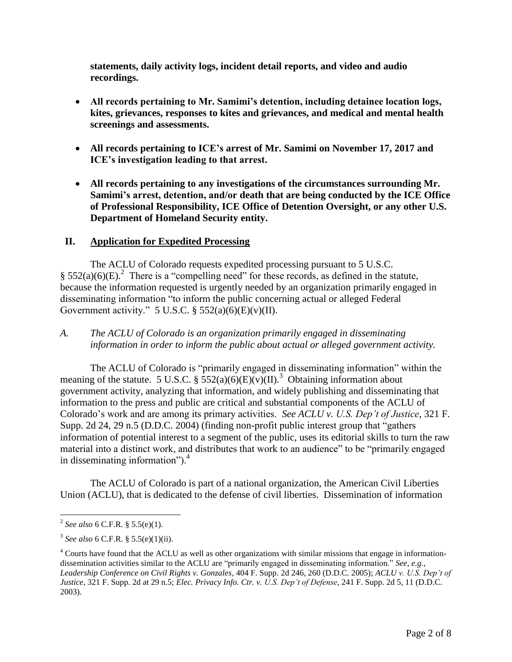**statements, daily activity logs, incident detail reports, and video and audio recordings.**

- **All records pertaining to Mr. Samimi's detention, including detainee location logs, kites, grievances, responses to kites and grievances, and medical and mental health screenings and assessments.**
- **All records pertaining to ICE's arrest of Mr. Samimi on November 17, 2017 and ICE's investigation leading to that arrest.**
- **All records pertaining to any investigations of the circumstances surrounding Mr. Samimi's arrest, detention, and/or death that are being conducted by the ICE Office of Professional Responsibility, ICE Office of Detention Oversight, or any other U.S. Department of Homeland Security entity.**

### **II. Application for Expedited Processing**

The ACLU of Colorado requests expedited processing pursuant to 5 U.S.C.  $§$  552(a)(6)(E).<sup>2</sup> There is a "compelling need" for these records, as defined in the statute, because the information requested is urgently needed by an organization primarily engaged in disseminating information "to inform the public concerning actual or alleged Federal Government activity." 5 U.S.C.  $\S$  552(a)(6)(E)(v)(II).

### *A. The ACLU of Colorado is an organization primarily engaged in disseminating information in order to inform the public about actual or alleged government activity.*

The ACLU of Colorado is "primarily engaged in disseminating information" within the meaning of the statute. 5 U.S.C. §  $552(a)(6)(E)(v)(II)$ .<sup>3</sup> Obtaining information about government activity, analyzing that information, and widely publishing and disseminating that information to the press and public are critical and substantial components of the ACLU of Colorado's work and are among its primary activities. *See ACLU v. U.S. Dep't of Justice*, 321 F. Supp. 2d 24, 29 n.5 (D.D.C. 2004) (finding non-profit public interest group that "gathers information of potential interest to a segment of the public, uses its editorial skills to turn the raw material into a distinct work, and distributes that work to an audience" to be "primarily engaged in disseminating information"). $4$ 

The ACLU of Colorado is part of a national organization, the American Civil Liberties Union (ACLU), that is dedicated to the defense of civil liberties. Dissemination of information

 $\overline{a}$ 

<sup>2</sup> *See also* 6 C.F.R. § 5.5(e)(1).

<sup>3</sup> *See also* 6 C.F.R. § 5.5(e)(1)(ii).

<sup>&</sup>lt;sup>4</sup> Courts have found that the ACLU as well as other organizations with similar missions that engage in informationdissemination activities similar to the ACLU are "primarily engaged in disseminating information." *See, e.g.*, *Leadership Conference on Civil Rights v. Gonzales*, 404 F. Supp. 2d 246, 260 (D.D.C. 2005); *ACLU v. U.S. Dep't of Justice*, 321 F. Supp. 2d at 29 n.5; *Elec. Privacy Info. Ctr. v. U.S. Dep't of Defense,* 241 F. Supp. 2d 5, 11 (D.D.C. 2003).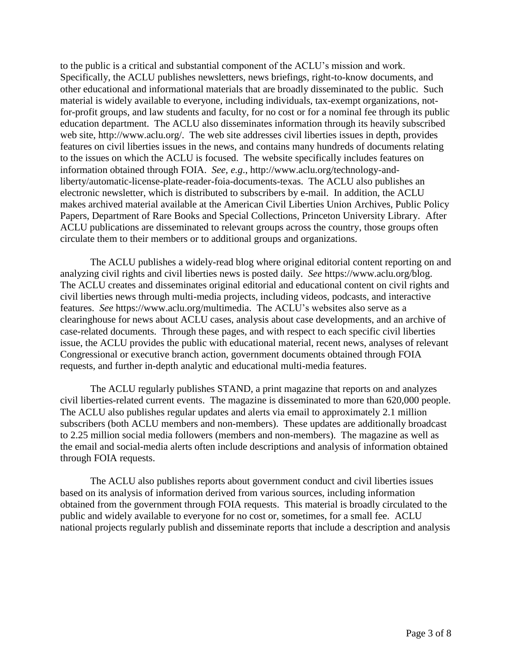to the public is a critical and substantial component of the ACLU's mission and work. Specifically, the ACLU publishes newsletters, news briefings, right-to-know documents, and other educational and informational materials that are broadly disseminated to the public. Such material is widely available to everyone, including individuals, tax-exempt organizations, notfor-profit groups, and law students and faculty, for no cost or for a nominal fee through its public education department. The ACLU also disseminates information through its heavily subscribed web site, http://www.aclu.org/. The web site addresses civil liberties issues in depth, provides features on civil liberties issues in the news, and contains many hundreds of documents relating to the issues on which the ACLU is focused. The website specifically includes features on information obtained through FOIA. *See, e.g*., http://www.aclu.org/technology-andliberty/automatic-license-plate-reader-foia-documents-texas. The ACLU also publishes an electronic newsletter, which is distributed to subscribers by e-mail. In addition, the ACLU makes archived material available at the American Civil Liberties Union Archives, Public Policy Papers, Department of Rare Books and Special Collections, Princeton University Library. After ACLU publications are disseminated to relevant groups across the country, those groups often circulate them to their members or to additional groups and organizations.

The ACLU publishes a widely-read blog where original editorial content reporting on and analyzing civil rights and civil liberties news is posted daily. *See* https://www.aclu.org/blog. The ACLU creates and disseminates original editorial and educational content on civil rights and civil liberties news through multi-media projects, including videos, podcasts, and interactive features. *See* https://www.aclu.org/multimedia. The ACLU's websites also serve as a clearinghouse for news about ACLU cases, analysis about case developments, and an archive of case-related documents. Through these pages, and with respect to each specific civil liberties issue, the ACLU provides the public with educational material, recent news, analyses of relevant Congressional or executive branch action, government documents obtained through FOIA requests, and further in-depth analytic and educational multi-media features.

The ACLU regularly publishes STAND, a print magazine that reports on and analyzes civil liberties-related current events. The magazine is disseminated to more than 620,000 people. The ACLU also publishes regular updates and alerts via email to approximately 2.1 million subscribers (both ACLU members and non-members). These updates are additionally broadcast to 2.25 million social media followers (members and non-members). The magazine as well as the email and social-media alerts often include descriptions and analysis of information obtained through FOIA requests.

The ACLU also publishes reports about government conduct and civil liberties issues based on its analysis of information derived from various sources, including information obtained from the government through FOIA requests. This material is broadly circulated to the public and widely available to everyone for no cost or, sometimes, for a small fee. ACLU national projects regularly publish and disseminate reports that include a description and analysis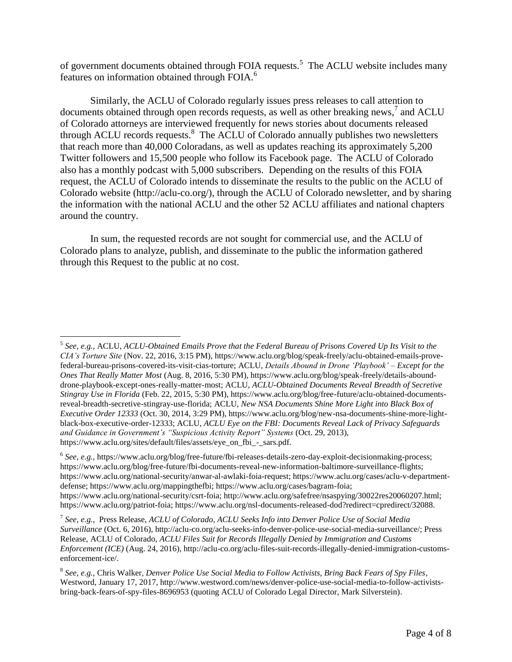of government documents obtained through FOIA requests.<sup>5</sup> The ACLU website includes many features on information obtained through FOIA.<sup>6</sup>

Similarly, the ACLU of Colorado regularly issues press releases to call attention to documents obtained through open records requests, as well as other breaking news,<sup>7</sup> and ACLU of Colorado attorneys are interviewed frequently for news stories about documents released through ACLU records requests. $8 \text{ The } ACLU$  of Colorado annually publishes two newsletters that reach more than 40,000 Coloradans, as well as updates reaching its approximately 5,200 Twitter followers and 15,500 people who follow its Facebook page. The ACLU of Colorado also has a monthly podcast with 5,000 subscribers. Depending on the results of this FOIA request, the ACLU of Colorado intends to disseminate the results to the public on the ACLU of Colorado website (http://aclu-co.org/), through the ACLU of Colorado newsletter, and by sharing the information with the national ACLU and the other 52 ACLU affiliates and national chapters around the country.

In sum, the requested records are not sought for commercial use, and the ACLU of Colorado plans to analyze, publish, and disseminate to the public the information gathered through this Request to the public at no cost.

 $\overline{a}$ 

<sup>5</sup> *See, e.g.*, ACLU, *ACLU-Obtained Emails Prove that the Federal Bureau of Prisons Covered Up Its Visit to the CIA's Torture Site* (Nov. 22, 2016, 3:15 PM), https://www.aclu.org/blog/speak-freely/aclu-obtained-emails-provefederal-bureau-prisons-covered-its-visit-cias-torture; ACLU, *Details Abound in Drone 'Playbook' – Except for the Ones That Really Matter Most* (Aug. 8, 2016, 5:30 PM), https://www.aclu.org/blog/speak-freely/details-abounddrone-playbook-except-ones-really-matter-most; ACLU, *ACLU-Obtained Documents Reveal Breadth of Secretive Stingray Use in Florida* (Feb. 22, 2015, 5:30 PM), https://www.aclu.org/blog/free-future/aclu-obtained-documentsreveal-breadth-secretive-stingray-use-florida; ACLU, *New NSA Documents Shine More Light into Black Box of Executive Order 12333* (Oct. 30, 2014, 3:29 PM), https://www.aclu.org/blog/new-nsa-documents-shine-more-lightblack-box-executive-order-12333; ACLU, *ACLU Eye on the FBI: Documents Reveal Lack of Privacy Safeguards and Guidance in Government's "Suspicious Activity Report" Systems* (Oct. 29, 2013), https://www.aclu.org/sites/default/files/assets/eye\_on\_fbi\_-\_sars.pdf.

<sup>&</sup>lt;sup>6</sup> See, e.g., https://www.aclu.org/blog/free-future/fbi-releases-details-zero-day-exploit-decisionmaking-process; https://www.aclu.org/blog/free-future/fbi-documents-reveal-new-information-baltimore-surveillance-flights; https://www.aclu.org/national-security/anwar-al-awlaki-foia-request; https://www.aclu.org/cases/aclu-v-departmentdefense; https://www.aclu.org/mappingthefbi; https://www.aclu.org/cases/bagram-foia; https://www.aclu.org/national-security/csrt-foia; http://www.aclu.org/safefree/nsaspying/30022res20060207.html; https://www.aclu.org/patriot-foia; https://www.aclu.org/nsl-documents-released-dod?redirect=cpredirect/32088.

<sup>7</sup> *See, e.g.*, Press Release, *ACLU of Colorado, ACLU Seeks Info into Denver Police Use of Social Media Surveillance* (Oct. 6, 2016), http://aclu-co.org/aclu-seeks-info-denver-police-use-social-media-surveillance/; Press Release, ACLU of Colorado, *ACLU Files Suit for Records Illegally Denied by Immigration and Customs Enforcement (ICE)* (Aug. 24, 2016), http://aclu-co.org/aclu-files-suit-records-illegally-denied-immigration-customsenforcement-ice/.

<sup>8</sup> *See, e.g.*, Chris Walker, *Denver Police Use Social Media to Follow Activists, Bring Back Fears of Spy Files*, Westword, January 17, 2017, http://www.westword.com/news/denver-police-use-social-media-to-follow-activistsbring-back-fears-of-spy-files-8696953 (quoting ACLU of Colorado Legal Director, Mark Silverstein).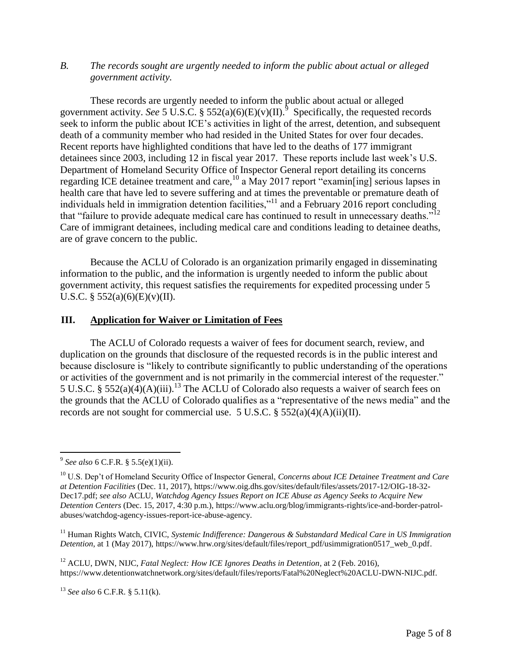### *B. The records sought are urgently needed to inform the public about actual or alleged government activity.*

These records are urgently needed to inform the public about actual or alleged government activity. *See* 5 U.S.C. § 552(a)(6)(E)(v)(II).<sup>9</sup> Specifically, the requested records seek to inform the public about ICE's activities in light of the arrest, detention, and subsequent death of a community member who had resided in the United States for over four decades. Recent reports have highlighted conditions that have led to the deaths of 177 immigrant detainees since 2003, including 12 in fiscal year 2017. These reports include last week's U.S. Department of Homeland Security Office of Inspector General report detailing its concerns regarding ICE detainee treatment and care,  $^{10}$  a May 2017 report "examin[ing] serious lapses in health care that have led to severe suffering and at times the preventable or premature death of individuals held in immigration detention facilities,"<sup>11</sup> and a February 2016 report concluding that "failure to provide adequate medical care has continued to result in unnecessary deaths."<sup>12</sup> Care of immigrant detainees, including medical care and conditions leading to detainee deaths, are of grave concern to the public.

Because the ACLU of Colorado is an organization primarily engaged in disseminating information to the public, and the information is urgently needed to inform the public about government activity, this request satisfies the requirements for expedited processing under 5 U.S.C. §  $552(a)(6)(E)(v)(II)$ .

#### **III. Application for Waiver or Limitation of Fees**

The ACLU of Colorado requests a waiver of fees for document search, review, and duplication on the grounds that disclosure of the requested records is in the public interest and because disclosure is "likely to contribute significantly to public understanding of the operations or activities of the government and is not primarily in the commercial interest of the requester." 5 U.S.C. § 552(a)( $\widetilde{A}$ )(A)(iii).<sup>13</sup> The ACLU of Colorado also requests a waiver of search fees on the grounds that the ACLU of Colorado qualifies as a "representative of the news media" and the records are not sought for commercial use. 5 U.S.C.  $\S$  552(a)(4)(A)(ii)(II).

<sup>12</sup> ACLU, DWN, NIJC, *Fatal Neglect: How ICE Ignores Deaths in Detention*, at 2 (Feb. 2016), https://www.detentionwatchnetwork.org/sites/default/files/reports/Fatal%20Neglect%20ACLU-DWN-NIJC.pdf.

<sup>13</sup> *See also* 6 C.F.R. § 5.11(k).

 9 *See also* 6 C.F.R. § 5.5(e)(1)(ii).

<sup>10</sup> U.S. Dep't of Homeland Security Office of Inspector General, *Concerns about ICE Detainee Treatment and Care at Detention Facilities* (Dec. 11, 2017), https://www.oig.dhs.gov/sites/default/files/assets/2017-12/OIG-18-32- Dec17.pdf; *see also* ACLU, *Watchdog Agency Issues Report on ICE Abuse as Agency Seeks to Acquire New Detention Centers* (Dec. 15, 2017, 4:30 p.m.), https://www.aclu.org/blog/immigrants-rights/ice-and-border-patrolabuses/watchdog-agency-issues-report-ice-abuse-agency.

<sup>&</sup>lt;sup>11</sup> Human Rights Watch, CIVIC, *Systemic Indifference: Dangerous & Substandard Medical Care in US Immigration Detention*, at 1 (May 2017), https://www.hrw.org/sites/default/files/report\_pdf/usimmigration0517\_web\_0.pdf.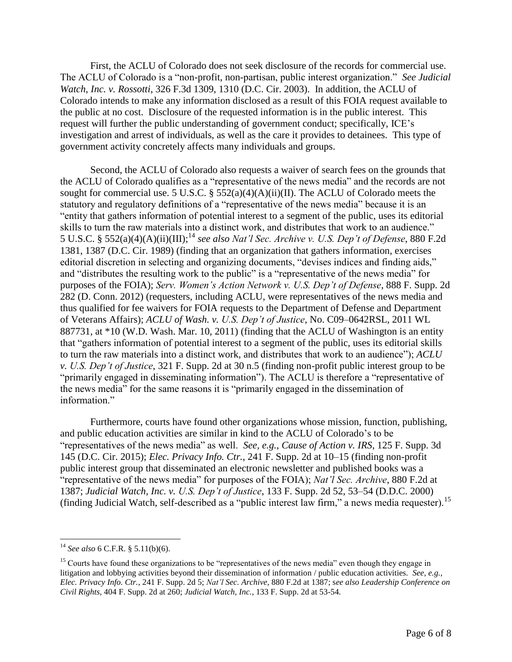First, the ACLU of Colorado does not seek disclosure of the records for commercial use. The ACLU of Colorado is a "non-profit, non-partisan, public interest organization." *See Judicial Watch, Inc. v. Rossotti*, 326 F.3d 1309, 1310 (D.C. Cir. 2003). In addition, the ACLU of Colorado intends to make any information disclosed as a result of this FOIA request available to the public at no cost. Disclosure of the requested information is in the public interest. This request will further the public understanding of government conduct; specifically, ICE's investigation and arrest of individuals, as well as the care it provides to detainees. This type of government activity concretely affects many individuals and groups.

Second, the ACLU of Colorado also requests a waiver of search fees on the grounds that the ACLU of Colorado qualifies as a "representative of the news media" and the records are not sought for commercial use. 5 U.S.C. § 552(a)(4)(A)(ii)(II). The ACLU of Colorado meets the statutory and regulatory definitions of a "representative of the news media" because it is an "entity that gathers information of potential interest to a segment of the public, uses its editorial skills to turn the raw materials into a distinct work, and distributes that work to an audience." 5 U.S.C. § 552(a)(4)(A)(ii)(III); <sup>14</sup> *see also Nat'l Sec. Archive v. U.S. Dep't of Defense*, 880 F.2d 1381, 1387 (D.C. Cir. 1989) (finding that an organization that gathers information, exercises editorial discretion in selecting and organizing documents, "devises indices and finding aids," and "distributes the resulting work to the public" is a "representative of the news media" for purposes of the FOIA); *Serv. Women's Action Network v. U.S. Dep't of Defense*, 888 F. Supp. 2d 282 (D. Conn. 2012) (requesters, including ACLU, were representatives of the news media and thus qualified for fee waivers for FOIA requests to the Department of Defense and Department of Veterans Affairs); *ACLU of Wash. v. U.S. Dep't of Justice*, No. C09–0642RSL, 2011 WL 887731, at \*10 (W.D. Wash. Mar. 10, 2011) (finding that the ACLU of Washington is an entity that "gathers information of potential interest to a segment of the public, uses its editorial skills to turn the raw materials into a distinct work, and distributes that work to an audience"); *ACLU v. U.S. Dep't of Justice*, 321 F. Supp. 2d at 30 n.5 (finding non-profit public interest group to be "primarily engaged in disseminating information"). The ACLU is therefore a "representative of the news media" for the same reasons it is "primarily engaged in the dissemination of information."

Furthermore, courts have found other organizations whose mission, function, publishing, and public education activities are similar in kind to the ACLU of Colorado's to be "representatives of the news media" as well. *See, e.g.*, *Cause of Action v. IRS*, 125 F. Supp. 3d 145 (D.C. Cir. 2015); *Elec. Privacy Info. Ctr.*, 241 F. Supp. 2d at 10–15 (finding non-profit public interest group that disseminated an electronic newsletter and published books was a "representative of the news media" for purposes of the FOIA); *Nat'l Sec. Archive*, 880 F.2d at 1387; *Judicial Watch, Inc. v. U.S. Dep't of Justice*, 133 F. Supp. 2d 52, 53–54 (D.D.C. 2000) (finding Judicial Watch, self-described as a "public interest law firm," a news media requester).<sup>15</sup>

 $\overline{a}$ <sup>14</sup> *See also* 6 C.F.R. § 5.11(b)(6).

<sup>&</sup>lt;sup>15</sup> Courts have found these organizations to be "representatives of the news media" even though they engage in litigation and lobbying activities beyond their dissemination of information / public education activities. *See, e.g.*, *Elec. Privacy Info. Ctr.*, 241 F. Supp. 2d 5; *Nat'l Sec. Archive*, 880 F.2d at 1387; s*ee also Leadership Conference on Civil Rights*, 404 F. Supp. 2d at 260; *Judicial Watch, Inc.*, 133 F. Supp. 2d at 53-54*.*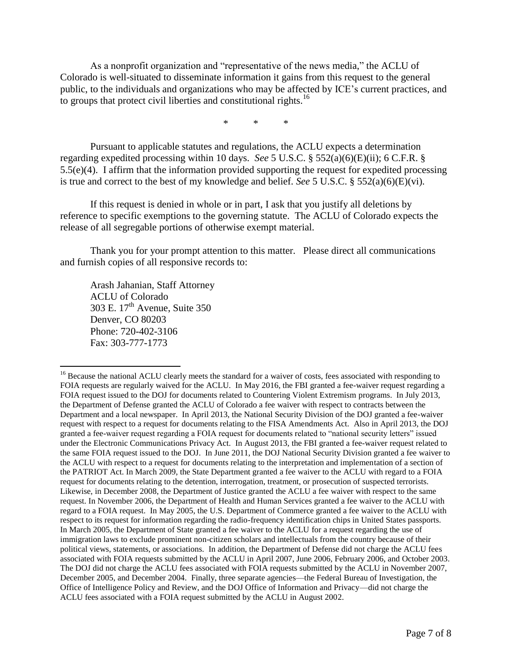As a nonprofit organization and "representative of the news media," the ACLU of Colorado is well-situated to disseminate information it gains from this request to the general public, to the individuals and organizations who may be affected by ICE's current practices, and to groups that protect civil liberties and constitutional rights.<sup>16</sup>

\* \* \*

Pursuant to applicable statutes and regulations, the ACLU expects a determination regarding expedited processing within 10 days. *See* 5 U.S.C. § 552(a)(6)(E)(ii); 6 C.F.R. § 5.5(e)(4). I affirm that the information provided supporting the request for expedited processing is true and correct to the best of my knowledge and belief. *See* 5 U.S.C. § 552(a)(6)(E)(vi).

If this request is denied in whole or in part, I ask that you justify all deletions by reference to specific exemptions to the governing statute. The ACLU of Colorado expects the release of all segregable portions of otherwise exempt material.

Thank you for your prompt attention to this matter. Please direct all communications and furnish copies of all responsive records to:

Arash Jahanian, Staff Attorney ACLU of Colorado 303 E. 17<sup>th</sup> Avenue, Suite 350 Denver, CO 80203 Phone: 720-402-3106 Fax: 303-777-1773

 $\overline{a}$ 

<sup>&</sup>lt;sup>16</sup> Because the national ACLU clearly meets the standard for a waiver of costs, fees associated with responding to FOIA requests are regularly waived for the ACLU. In May 2016, the FBI granted a fee-waiver request regarding a FOIA request issued to the DOJ for documents related to Countering Violent Extremism programs. In July 2013, the Department of Defense granted the ACLU of Colorado a fee waiver with respect to contracts between the Department and a local newspaper. In April 2013, the National Security Division of the DOJ granted a fee-waiver request with respect to a request for documents relating to the FISA Amendments Act. Also in April 2013, the DOJ granted a fee-waiver request regarding a FOIA request for documents related to "national security letters" issued under the Electronic Communications Privacy Act. In August 2013, the FBI granted a fee-waiver request related to the same FOIA request issued to the DOJ. In June 2011, the DOJ National Security Division granted a fee waiver to the ACLU with respect to a request for documents relating to the interpretation and implementation of a section of the PATRIOT Act. In March 2009, the State Department granted a fee waiver to the ACLU with regard to a FOIA request for documents relating to the detention, interrogation, treatment, or prosecution of suspected terrorists. Likewise, in December 2008, the Department of Justice granted the ACLU a fee waiver with respect to the same request. In November 2006, the Department of Health and Human Services granted a fee waiver to the ACLU with regard to a FOIA request. In May 2005, the U.S. Department of Commerce granted a fee waiver to the ACLU with respect to its request for information regarding the radio-frequency identification chips in United States passports. In March 2005, the Department of State granted a fee waiver to the ACLU for a request regarding the use of immigration laws to exclude prominent non-citizen scholars and intellectuals from the country because of their political views, statements, or associations. In addition, the Department of Defense did not charge the ACLU fees associated with FOIA requests submitted by the ACLU in April 2007, June 2006, February 2006, and October 2003. The DOJ did not charge the ACLU fees associated with FOIA requests submitted by the ACLU in November 2007, December 2005, and December 2004. Finally, three separate agencies—the Federal Bureau of Investigation, the Office of Intelligence Policy and Review, and the DOJ Office of Information and Privacy—did not charge the ACLU fees associated with a FOIA request submitted by the ACLU in August 2002.